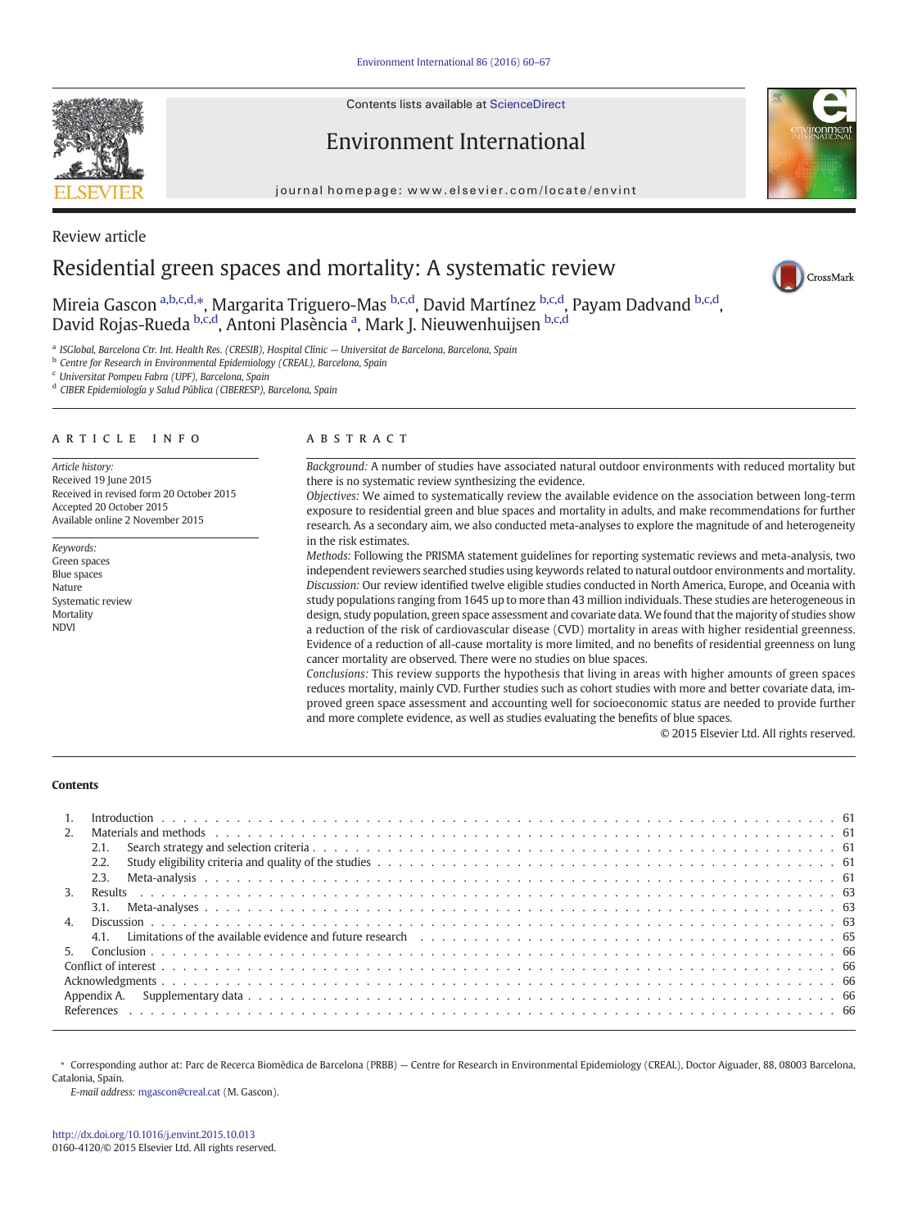#### [Environment International 86 \(2016\) 60](http://dx.doi.org/10.1016/j.envint.2015.10.013)–67

Contents lists available at ScienceDirect

# Environment International

journal homepage: www.elsevier.com/locate/envint





CrossMark

# Review article

# Residential green spaces and mortality: A systematic review

Mireia Gascon <sup>a,b,c,d,</sup>\*, Margarita Triguero-Mas <sup>b,c,d</sup>, David Martínez <sup>b,c,d</sup>, Payam Dadvand <sup>b,c,d</sup>, David Rojas-Rueda <sup>b,c,d</sup>, Antoni Plasència <sup>a</sup>, Mark J. Nieuwenhuijsen <sup>b,c,d</sup>

a ISGlobal, Barcelona Ctr. Int. Health Res. (CRESIB), Hospital Clínic - Universitat de Barcelona, Barcelona, Spain

**b** Centre for Research in Environmental Epidemiology (CREAL), Barcelona, Spain

<sup>c</sup> Universitat Pompeu Fabra (UPF), Barcelona, Spain

<sup>d</sup> CIBER Epidemiología y Salud Pública (CIBERESP), Barcelona, Spain

# article info abstract

Article history: Received 19 June 2015 Received in revised form 20 October 2015 Accepted 20 October 2015 Available online 2 November 2015

Keywords: Green spaces Blue spaces Nature Systematic review **Mortality** NDVI

Background: A number of studies have associated natural outdoor environments with reduced mortality but there is no systematic review synthesizing the evidence.

Objectives: We aimed to systematically review the available evidence on the association between long-term exposure to residential green and blue spaces and mortality in adults, and make recommendations for further research. As a secondary aim, we also conducted meta-analyses to explore the magnitude of and heterogeneity in the risk estimates.

Methods: Following the PRISMA statement guidelines for reporting systematic reviews and meta-analysis, two independent reviewers searched studies using keywords related to natural outdoor environments and mortality. Discussion: Our review identified twelve eligible studies conducted in North America, Europe, and Oceania with study populations ranging from 1645 up to more than 43 million individuals. These studies are heterogeneous in design, study population, green space assessment and covariate data. We found that the majority of studies show a reduction of the risk of cardiovascular disease (CVD) mortality in areas with higher residential greenness. Evidence of a reduction of all-cause mortality is more limited, and no benefits of residential greenness on lung cancer mortality are observed. There were no studies on blue spaces.

Conclusions: This review supports the hypothesis that living in areas with higher amounts of green spaces reduces mortality, mainly CVD. Further studies such as cohort studies with more and better covariate data, improved green space assessment and accounting well for socioeconomic status are needed to provide further and more complete evidence, as well as studies evaluating the benefits of blue spaces.

© 2015 Elsevier Ltd. All rights reserved.

### **Contents**

|              | 2.2         |  |  |  |  |  |
|--------------|-------------|--|--|--|--|--|
| 3.           |             |  |  |  |  |  |
|              |             |  |  |  |  |  |
| $\mathbf{4}$ |             |  |  |  |  |  |
|              |             |  |  |  |  |  |
| 5.           |             |  |  |  |  |  |
|              |             |  |  |  |  |  |
|              |             |  |  |  |  |  |
|              | Appendix A. |  |  |  |  |  |

⁎ Corresponding author at: Parc de Recerca Biomèdica de Barcelona (PRBB) — Centre for Research in Environmental Epidemiology (CREAL), Doctor Aiguader, 88, 08003 Barcelona, Catalonia, Spain.

E-mail address: [mgascon@creal.cat](mailto:mgascon@creal.cat) (M. Gascon).

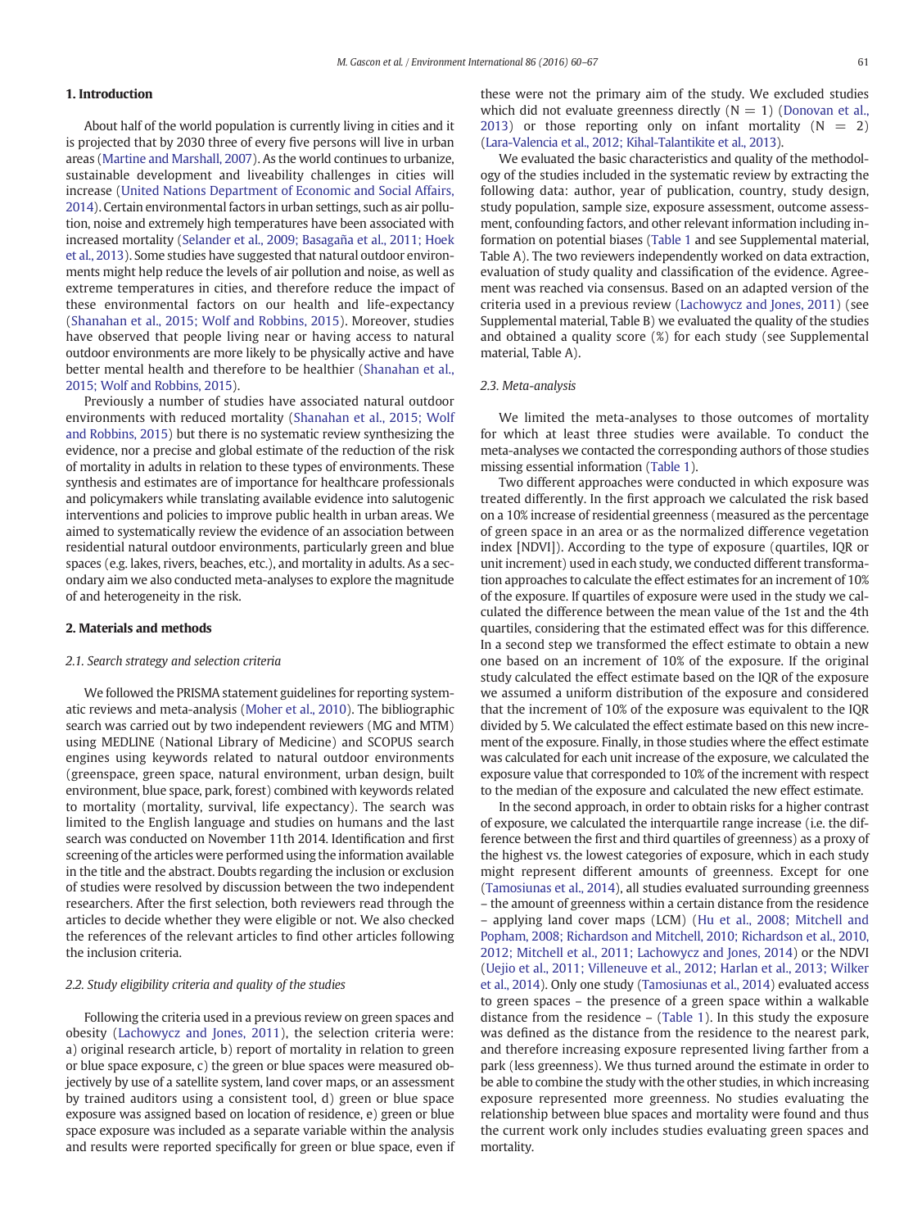# 1. Introduction

About half of the world population is currently living in cities and it is projected that by 2030 three of every five persons will live in urban areas [\(Martine and Marshall, 2007\)](#page-7-0). As the world continues to urbanize, sustainable development and liveability challenges in cities will increase [\(United Nations Department of Economic and Social Affairs,](#page-7-0) [2014](#page-7-0)). Certain environmental factors in urban settings, such as air pollution, noise and extremely high temperatures have been associated with increased mortality ([Selander et al., 2009; Basagaña et al., 2011; Hoek](#page-7-0) [et al., 2013](#page-7-0)). Some studies have suggested that natural outdoor environments might help reduce the levels of air pollution and noise, as well as extreme temperatures in cities, and therefore reduce the impact of these environmental factors on our health and life-expectancy [\(Shanahan et al., 2015; Wolf and Robbins, 2015](#page-7-0)). Moreover, studies have observed that people living near or having access to natural outdoor environments are more likely to be physically active and have better mental health and therefore to be healthier [\(Shanahan et al.,](#page-7-0) [2015; Wolf and Robbins, 2015\)](#page-7-0).

Previously a number of studies have associated natural outdoor environments with reduced mortality ([Shanahan et al., 2015; Wolf](#page-7-0) [and Robbins, 2015](#page-7-0)) but there is no systematic review synthesizing the evidence, nor a precise and global estimate of the reduction of the risk of mortality in adults in relation to these types of environments. These synthesis and estimates are of importance for healthcare professionals and policymakers while translating available evidence into salutogenic interventions and policies to improve public health in urban areas. We aimed to systematically review the evidence of an association between residential natural outdoor environments, particularly green and blue spaces (e.g. lakes, rivers, beaches, etc.), and mortality in adults. As a secondary aim we also conducted meta-analyses to explore the magnitude of and heterogeneity in the risk.

#### 2. Materials and methods

# 2.1. Search strategy and selection criteria

We followed the PRISMA statement guidelines for reporting systematic reviews and meta-analysis ([Moher et al., 2010\)](#page-7-0). The bibliographic search was carried out by two independent reviewers (MG and MTM) using MEDLINE (National Library of Medicine) and SCOPUS search engines using keywords related to natural outdoor environments (greenspace, green space, natural environment, urban design, built environment, blue space, park, forest) combined with keywords related to mortality (mortality, survival, life expectancy). The search was limited to the English language and studies on humans and the last search was conducted on November 11th 2014. Identification and first screening of the articles were performed using the information available in the title and the abstract. Doubts regarding the inclusion or exclusion of studies were resolved by discussion between the two independent researchers. After the first selection, both reviewers read through the articles to decide whether they were eligible or not. We also checked the references of the relevant articles to find other articles following the inclusion criteria.

# 2.2. Study eligibility criteria and quality of the studies

Following the criteria used in a previous review on green spaces and obesity [\(Lachowycz and Jones, 2011](#page-7-0)), the selection criteria were: a) original research article, b) report of mortality in relation to green or blue space exposure, c) the green or blue spaces were measured objectively by use of a satellite system, land cover maps, or an assessment by trained auditors using a consistent tool, d) green or blue space exposure was assigned based on location of residence, e) green or blue space exposure was included as a separate variable within the analysis and results were reported specifically for green or blue space, even if these were not the primary aim of the study. We excluded studies which did not evaluate greenness directly  $(N = 1)$  [\(Donovan et al.,](#page-6-0) [2013\)](#page-6-0) or those reporting only on infant mortality  $(N = 2)$ [\(Lara-Valencia et al., 2012; Kihal-Talantikite et al., 2013\)](#page-7-0).

We evaluated the basic characteristics and quality of the methodology of the studies included in the systematic review by extracting the following data: author, year of publication, country, study design, study population, sample size, exposure assessment, outcome assessment, confounding factors, and other relevant information including information on potential biases [\(Table 1](#page-2-0) and see Supplemental material, Table A). The two reviewers independently worked on data extraction, evaluation of study quality and classification of the evidence. Agreement was reached via consensus. Based on an adapted version of the criteria used in a previous review ([Lachowycz and Jones, 2011](#page-7-0)) (see Supplemental material, Table B) we evaluated the quality of the studies and obtained a quality score (%) for each study (see Supplemental material, Table A).

# 2.3. Meta-analysis

We limited the meta-analyses to those outcomes of mortality for which at least three studies were available. To conduct the meta-analyses we contacted the corresponding authors of those studies missing essential information ([Table 1](#page-2-0)).

Two different approaches were conducted in which exposure was treated differently. In the first approach we calculated the risk based on a 10% increase of residential greenness (measured as the percentage of green space in an area or as the normalized difference vegetation index [NDVI]). According to the type of exposure (quartiles, IQR or unit increment) used in each study, we conducted different transformation approaches to calculate the effect estimates for an increment of 10% of the exposure. If quartiles of exposure were used in the study we calculated the difference between the mean value of the 1st and the 4th quartiles, considering that the estimated effect was for this difference. In a second step we transformed the effect estimate to obtain a new one based on an increment of 10% of the exposure. If the original study calculated the effect estimate based on the IQR of the exposure we assumed a uniform distribution of the exposure and considered that the increment of 10% of the exposure was equivalent to the IQR divided by 5. We calculated the effect estimate based on this new increment of the exposure. Finally, in those studies where the effect estimate was calculated for each unit increase of the exposure, we calculated the exposure value that corresponded to 10% of the increment with respect to the median of the exposure and calculated the new effect estimate.

In the second approach, in order to obtain risks for a higher contrast of exposure, we calculated the interquartile range increase (i.e. the difference between the first and third quartiles of greenness) as a proxy of the highest vs. the lowest categories of exposure, which in each study might represent different amounts of greenness. Except for one [\(Tamosiunas et al., 2014](#page-7-0)), all studies evaluated surrounding greenness – the amount of greenness within a certain distance from the residence – applying land cover maps (LCM) ([Hu et al., 2008; Mitchell and](#page-7-0) [Popham, 2008; Richardson and Mitchell, 2010; Richardson et al., 2010,](#page-7-0) [2012; Mitchell et al., 2011; Lachowycz and Jones, 2014](#page-7-0)) or the NDVI [\(Uejio et al., 2011; Villeneuve et al., 2012; Harlan et al., 2013; Wilker](#page-7-0) [et al., 2014\)](#page-7-0). Only one study [\(Tamosiunas et al., 2014\)](#page-7-0) evaluated access to green spaces – the presence of a green space within a walkable distance from the residence – [\(Table 1](#page-2-0)). In this study the exposure was defined as the distance from the residence to the nearest park, and therefore increasing exposure represented living farther from a park (less greenness). We thus turned around the estimate in order to be able to combine the study with the other studies, in which increasing exposure represented more greenness. No studies evaluating the relationship between blue spaces and mortality were found and thus the current work only includes studies evaluating green spaces and mortality.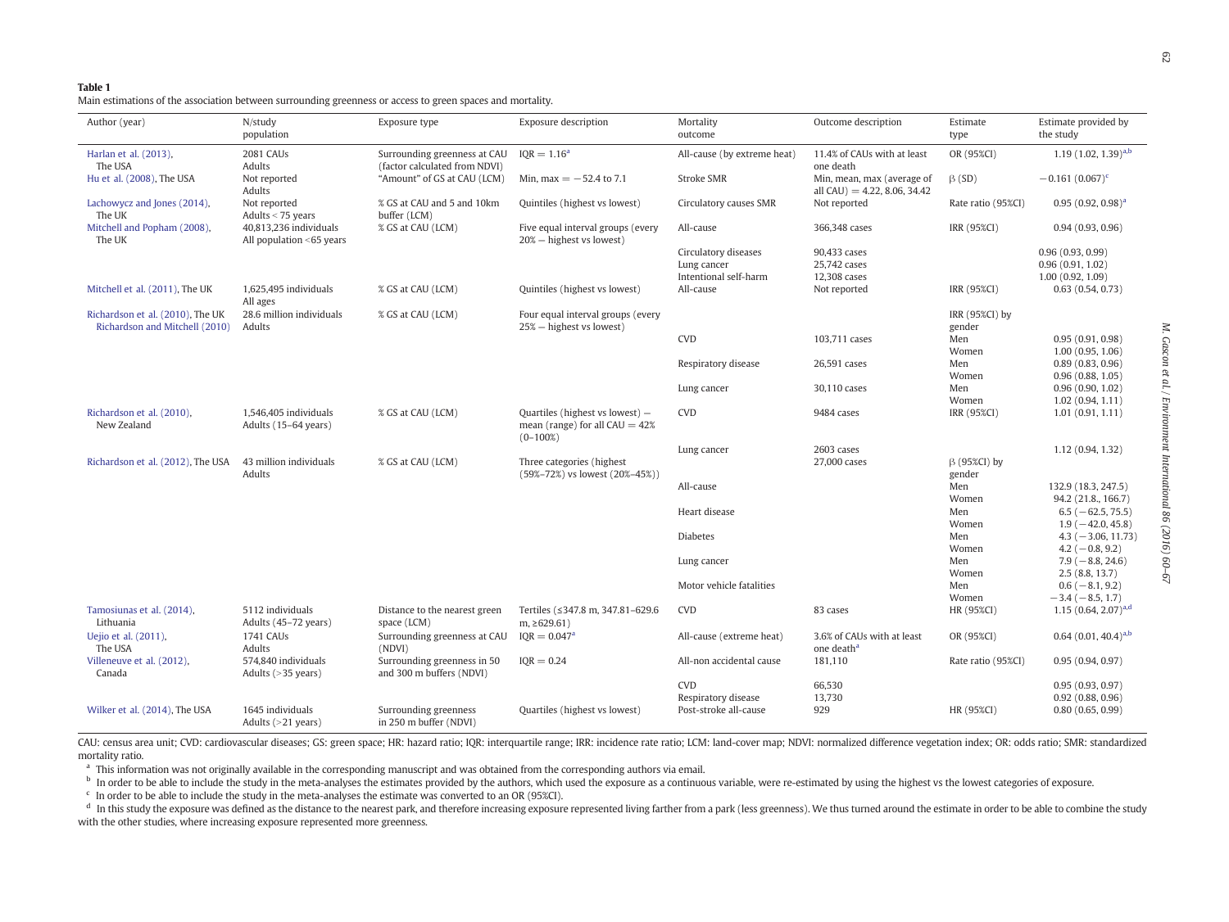#### <span id="page-2-0"></span>Table 1

Main estimations of the association between surrounding greenness or access to green spaces and mortality.

| Author (year)                                                      | N/study<br>population                              | Exposure type                                                 | <b>Exposure description</b>                                          | Mortality<br>outcome                | Outcome description                                          | Estimate<br>type             | Estimate provided by<br>the study             |
|--------------------------------------------------------------------|----------------------------------------------------|---------------------------------------------------------------|----------------------------------------------------------------------|-------------------------------------|--------------------------------------------------------------|------------------------------|-----------------------------------------------|
| Harlan et al. (2013),<br>The USA                                   | 2081 CAUs<br>Adults                                | Surrounding greenness at CAU<br>(factor calculated from NDVI) | $IOR = 1.16a$                                                        | All-cause (by extreme heat)         | 11.4% of CAUs with at least<br>one death                     | OR (95%CI)                   | $1.19(1.02, 1.39)^{a,b}$                      |
| Hu et al. (2008), The USA                                          | Not reported<br>Adults                             | "Amount" of GS at CAU (LCM)                                   | Min. max $=$ $-52.4$ to 7.1                                          | Stroke SMR                          | Min, mean, max (average of<br>all CAU) = $4,22, 8,06, 34,42$ | $\beta(SD)$                  | $-0.161(0.067)^c$                             |
| Lachowycz and Jones (2014),<br>The UK                              | Not reported<br>Adults $<$ 75 years                | % GS at CAU and 5 and 10km<br>buffer (LCM)                    | Quintiles (highest vs lowest)                                        | Circulatory causes SMR              | Not reported                                                 | Rate ratio (95%CI)           | $0.95(0.92, 0.98)^{a}$                        |
| Mitchell and Popham (2008),<br>The UK                              | 40,813,236 individuals<br>All population <65 years | % GS at CAU (LCM)                                             | Five equal interval groups (every<br>20% - highest vs lowest)        | All-cause                           | 366,348 cases                                                | IRR (95%CI)                  | 0.94(0.93, 0.96)                              |
|                                                                    |                                                    |                                                               |                                                                      | Circulatory diseases<br>Lung cancer | 90,433 cases<br>25,742 cases                                 |                              | 0.96(0.93, 0.99)<br>0.96(0.91, 1.02)          |
| Mitchell et al. (2011), The UK                                     | 1,625,495 individuals                              | % GS at CAU (LCM)                                             | Quintiles (highest vs lowest)                                        | Intentional self-harm<br>All-cause  | 12.308 cases<br>Not reported                                 | IRR (95%CI)                  | 1.00(0.92, 1.09)<br>0.63(0.54, 0.73)          |
|                                                                    | All ages                                           |                                                               |                                                                      |                                     |                                                              |                              |                                               |
| Richardson et al. (2010), The UK<br>Richardson and Mitchell (2010) | 28.6 million individuals<br>Adults                 | % GS at CAU (LCM)                                             | Four equal interval groups (every<br>25% - highest vs lowest)        |                                     |                                                              | IRR (95%CI) by<br>gender     |                                               |
|                                                                    |                                                    |                                                               |                                                                      | <b>CVD</b>                          | 103,711 cases                                                | Men<br>Women                 | 0.95(0.91, 0.98)<br>1.00(0.95, 1.06)          |
|                                                                    |                                                    |                                                               |                                                                      | Respiratory disease                 | 26,591 cases                                                 | Men<br>Women                 | 0.89(0.83, 0.96)<br>0.96(0.88, 1.05)          |
|                                                                    |                                                    |                                                               |                                                                      | Lung cancer                         | 30,110 cases                                                 | Men                          | 0.96(0.90, 1.02)                              |
| Richardson et al. (2010),<br>New Zealand                           | 1,546,405 individuals<br>Adults (15-64 years)      | % GS at CAU (LCM)                                             | Quartiles (highest vs lowest) -<br>mean (range) for all CAU = $42\%$ | <b>CVD</b>                          | 9484 cases                                                   | Women<br>IRR (95%CI)         | 1.02(0.94, 1.11)<br>1.01(0.91, 1.11)          |
|                                                                    |                                                    |                                                               | $(0-100\%)$                                                          | Lung cancer                         | 2603 cases                                                   |                              | 1.12 (0.94, 1.32)                             |
| Richardson et al. (2012), The USA                                  | 43 million individuals<br>Adults                   | % GS at CAU (LCM)                                             | Three categories (highest<br>(59%-72%) vs lowest (20%-45%))          |                                     | 27,000 cases                                                 | $\beta$ (95%CI) by<br>gender |                                               |
|                                                                    |                                                    |                                                               |                                                                      | All-cause                           |                                                              | Men<br>Women                 | 132.9 (18.3, 247.5)<br>94.2 (21.8., 166.7)    |
|                                                                    |                                                    |                                                               |                                                                      | Heart disease                       |                                                              | Men<br>Women                 | $6.5(-62.5, 75.5)$<br>$1.9(-42.0, 45.8)$      |
|                                                                    |                                                    |                                                               |                                                                      | <b>Diabetes</b>                     |                                                              | Men                          | $4.3(-3.06, 11.73)$                           |
|                                                                    |                                                    |                                                               |                                                                      | Lung cancer                         |                                                              | Women<br>Men                 | $4.2 (-0.8, 9.2)$<br>$7.9(-8.8, 24.6)$        |
|                                                                    |                                                    |                                                               |                                                                      | Motor vehicle fatalities            |                                                              | Women<br>Men                 | 2.5(8.8, 13.7)<br>$0.6(-8.1, 9.2)$            |
| Tamosiunas et al. (2014),                                          | 5112 individuals                                   | Distance to the nearest green                                 | Tertiles (≤347.8 m, 347.81-629.6                                     | <b>CVD</b>                          | 83 cases                                                     | Women                        | $-3.4(-8.5, 1.7)$<br>$1.15(0.64, 2.07)^{a,d}$ |
| Lithuania                                                          | Adults (45-72 years)                               | space (LCM)                                                   | $m, \ge 629.61$                                                      |                                     |                                                              | HR (95%CI)                   |                                               |
| Uejio et al. (2011),<br>The USA                                    | 1741 CAUs<br>Adults                                | Surrounding greenness at CAU<br>(NDVI)                        | $IOR = 0.047a$                                                       | All-cause (extreme heat)            | 3.6% of CAUs with at least<br>one death <sup>a</sup>         | OR (95%CI)                   | $0.64(0.01, 40.4)^{a,b}$                      |
| Villeneuve et al. (2012),<br>Canada                                | 574,840 individuals<br>Adults $(>35$ years)        | Surrounding greenness in 50<br>and 300 m buffers (NDVI)       | $IOR = 0.24$                                                         | All-non accidental cause            | 181,110                                                      | Rate ratio (95%CI)           | 0.95(0.94, 0.97)                              |
|                                                                    |                                                    |                                                               |                                                                      | <b>CVD</b><br>Respiratory disease   | 66,530<br>13,730                                             |                              | 0.95(0.93, 0.97)<br>0.92(0.88, 0.96)          |
| Wilker et al. (2014), The USA                                      | 1645 individuals<br>Adults $(>21$ years)           | Surrounding greenness<br>in 250 m buffer (NDVI)               | Quartiles (highest vs lowest)                                        | Post-stroke all-cause               | 929                                                          | HR (95%CI)                   | 0.80(0.65, 0.99)                              |

CAU: census area unit: CVD: cardiovascular diseases: GS: green space: HR: hazard ratio: IOR: interquartile range: IRR: incidence rate ratio: LCM: land-cover map: NDVI: normalized difference vegetation index: OR: odds ratio mortality ratio.

<sup>a</sup> This information was not originally available in the corresponding manuscript and was obtained from the corresponding authors via email.

<sup>b</sup> In order to be able to include the study in the meta-analyses the estimates provided by the authors, which used the exposure as a continuous variable, were re-estimated by using the highest vs the lowest categories of

 $c<sub>c</sub>$  In order to be able to include the study in the meta-analyses the estimate was converted to an OR (95%CI).

<sup>d</sup> In this study the exposure was defined as the distance to the nearest park, and therefore increasing exposure represented living farther from a park (less greenness). We thus turned around the estimate in order to be a with the other studies, where increasing exposure represented more greenness.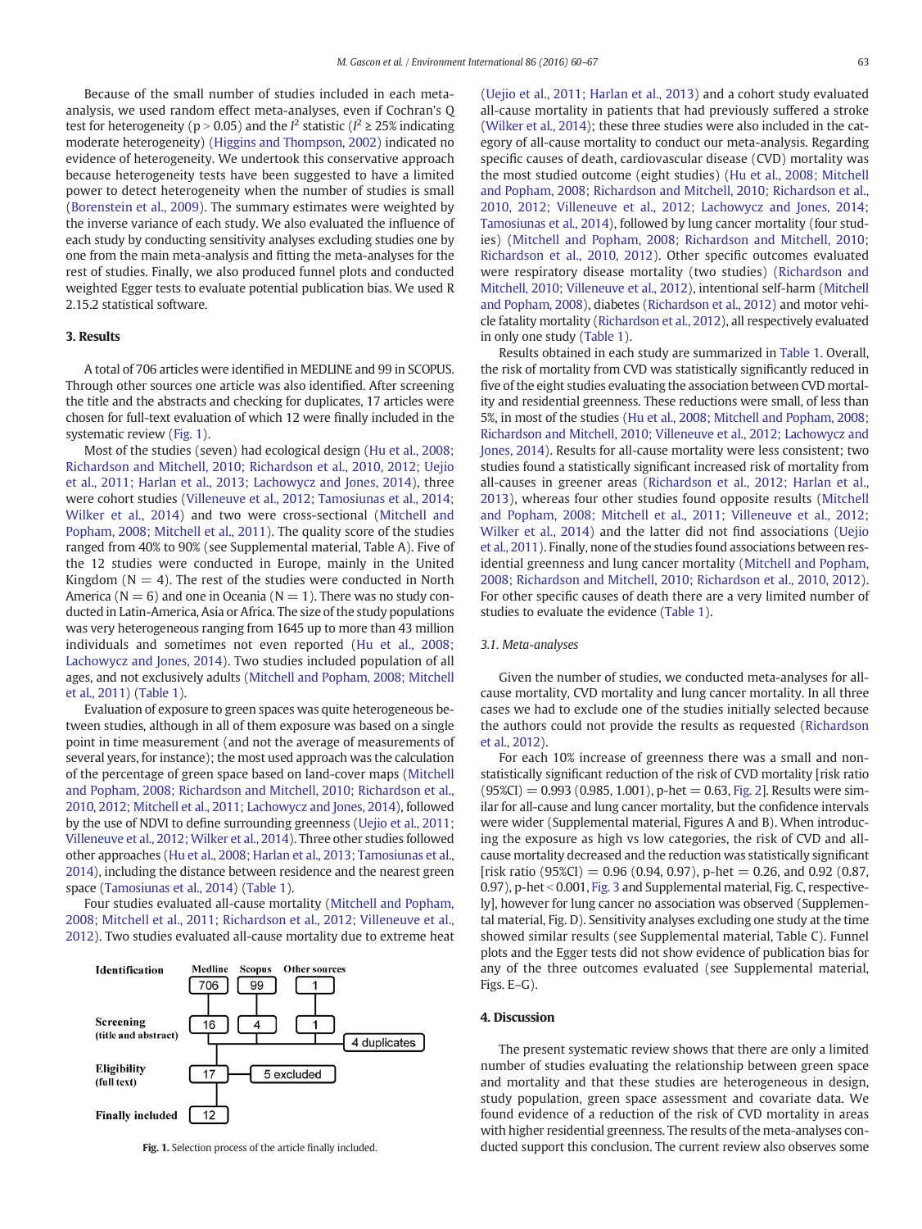Because of the small number of studies included in each metaanalysis, we used random effect meta-analyses, even if Cochran's Q test for heterogeneity (p > 0.05) and the  $I^2$  statistic ( $I^2 \ge 25\%$  indicating moderate heterogeneity) [\(Higgins and Thompson, 2002](#page-7-0)) indicated no evidence of heterogeneity. We undertook this conservative approach because heterogeneity tests have been suggested to have a limited power to detect heterogeneity when the number of studies is small [\(Borenstein et al., 2009\)](#page-6-0). The summary estimates were weighted by the inverse variance of each study. We also evaluated the influence of each study by conducting sensitivity analyses excluding studies one by one from the main meta-analysis and fitting the meta-analyses for the rest of studies. Finally, we also produced funnel plots and conducted weighted Egger tests to evaluate potential publication bias. We used R 2.15.2 statistical software.

# 3. Results

A total of 706 articles were identified in MEDLINE and 99 in SCOPUS. Through other sources one article was also identified. After screening the title and the abstracts and checking for duplicates, 17 articles were chosen for full-text evaluation of which 12 were finally included in the systematic review (Fig. 1).

Most of the studies (seven) had ecological design ([Hu et al., 2008;](#page-7-0) [Richardson and Mitchell, 2010; Richardson et al., 2010, 2012; Uejio](#page-7-0) [et al., 2011; Harlan et al., 2013; Lachowycz and Jones, 2014\)](#page-7-0), three were cohort studies [\(Villeneuve et al., 2012; Tamosiunas et al., 2014;](#page-7-0) [Wilker et al., 2014\)](#page-7-0) and two were cross-sectional [\(Mitchell and](#page-7-0) [Popham, 2008; Mitchell et al., 2011](#page-7-0)). The quality score of the studies ranged from 40% to 90% (see Supplemental material, Table A). Five of the 12 studies were conducted in Europe, mainly in the United Kingdom ( $N = 4$ ). The rest of the studies were conducted in North America ( $N = 6$ ) and one in Oceania ( $N = 1$ ). There was no study conducted in Latin-America, Asia or Africa. The size of the study populations was very heterogeneous ranging from 1645 up to more than 43 million individuals and sometimes not even reported [\(Hu et al., 2008;](#page-7-0) [Lachowycz and Jones, 2014\)](#page-7-0). Two studies included population of all ages, and not exclusively adults ([Mitchell and Popham, 2008; Mitchell](#page-7-0) [et al., 2011](#page-7-0)) [\(Table 1\)](#page-2-0).

Evaluation of exposure to green spaces was quite heterogeneous between studies, although in all of them exposure was based on a single point in time measurement (and not the average of measurements of several years, for instance); the most used approach was the calculation of the percentage of green space based on land-cover maps ([Mitchell](#page-7-0) [and Popham, 2008; Richardson and Mitchell, 2010; Richardson et al.,](#page-7-0) [2010, 2012; Mitchell et al., 2011; Lachowycz and Jones, 2014\)](#page-7-0), followed by the use of NDVI to define surrounding greenness ([Uejio et al., 2011;](#page-7-0) [Villeneuve et al., 2012; Wilker et al., 2014\)](#page-7-0). Three other studies followed other approaches [\(Hu et al., 2008; Harlan et al., 2013; Tamosiunas et al.,](#page-7-0) [2014](#page-7-0)), including the distance between residence and the nearest green space ([Tamosiunas et al., 2014\)](#page-7-0) ([Table 1](#page-2-0)).

Four studies evaluated all-cause mortality ([Mitchell and Popham,](#page-7-0) [2008; Mitchell et al., 2011; Richardson et al., 2012; Villeneuve et al.,](#page-7-0) [2012\)](#page-7-0). Two studies evaluated all-cause mortality due to extreme heat



[\(Uejio et al., 2011; Harlan et al., 2013\)](#page-7-0) and a cohort study evaluated all-cause mortality in patients that had previously suffered a stroke [\(Wilker et al., 2014\)](#page-7-0); these three studies were also included in the category of all-cause mortality to conduct our meta-analysis. Regarding specific causes of death, cardiovascular disease (CVD) mortality was the most studied outcome (eight studies) ([Hu et al., 2008; Mitchell](#page-7-0) [and Popham, 2008; Richardson and Mitchell, 2010; Richardson et al.,](#page-7-0) [2010, 2012; Villeneuve et al., 2012; Lachowycz and Jones, 2014;](#page-7-0) [Tamosiunas et al., 2014](#page-7-0)), followed by lung cancer mortality (four studies) [\(Mitchell and Popham, 2008; Richardson and Mitchell, 2010;](#page-7-0) [Richardson et al., 2010, 2012](#page-7-0)). Other specific outcomes evaluated were respiratory disease mortality (two studies) [\(Richardson and](#page-7-0) [Mitchell, 2010; Villeneuve et al., 2012](#page-7-0)), intentional self-harm [\(Mitchell](#page-7-0) [and Popham, 2008\)](#page-7-0), diabetes ([Richardson et al., 2012\)](#page-7-0) and motor vehicle fatality mortality ([Richardson et al., 2012\)](#page-7-0), all respectively evaluated in only one study ([Table 1](#page-2-0)).

Results obtained in each study are summarized in [Table 1](#page-2-0). Overall, the risk of mortality from CVD was statistically significantly reduced in five of the eight studies evaluating the association between CVD mortality and residential greenness. These reductions were small, of less than 5%, in most of the studies ([Hu et al., 2008; Mitchell and Popham, 2008;](#page-7-0) [Richardson and Mitchell, 2010; Villeneuve et al., 2012; Lachowycz and](#page-7-0) [Jones, 2014\)](#page-7-0). Results for all-cause mortality were less consistent; two studies found a statistically significant increased risk of mortality from all-causes in greener areas ([Richardson et al., 2012; Harlan et al.,](#page-7-0) [2013\)](#page-7-0), whereas four other studies found opposite results [\(Mitchell](#page-7-0) [and Popham, 2008; Mitchell et al., 2011; Villeneuve et al., 2012;](#page-7-0) [Wilker et al., 2014\)](#page-7-0) and the latter did not find associations [\(Uejio](#page-7-0) [et al., 2011\)](#page-7-0). Finally, none of the studies found associations between residential greenness and lung cancer mortality ([Mitchell and Popham,](#page-7-0) [2008; Richardson and Mitchell, 2010; Richardson et al., 2010, 2012](#page-7-0)). For other specific causes of death there are a very limited number of studies to evaluate the evidence ([Table 1](#page-2-0)).

#### 3.1. Meta-analyses

Given the number of studies, we conducted meta-analyses for allcause mortality, CVD mortality and lung cancer mortality. In all three cases we had to exclude one of the studies initially selected because the authors could not provide the results as requested [\(Richardson](#page-7-0) [et al., 2012](#page-7-0)).

For each 10% increase of greenness there was a small and nonstatistically significant reduction of the risk of CVD mortality [risk ratio  $(95\%) = 0.993$  (0.985, 1.001), p-het = 0.63, [Fig. 2](#page-4-0)]. Results were similar for all-cause and lung cancer mortality, but the confidence intervals were wider (Supplemental material, Figures A and B). When introducing the exposure as high vs low categories, the risk of CVD and allcause mortality decreased and the reduction was statistically significant [risk ratio (95%CI) = 0.96 (0.94, 0.97), p-het = 0.26, and 0.92 (0.87, 0.97), p-het < 0.001, [Fig. 3](#page-5-0) and Supplemental material, Fig. C, respectively], however for lung cancer no association was observed (Supplemental material, Fig. D). Sensitivity analyses excluding one study at the time showed similar results (see Supplemental material, Table C). Funnel plots and the Egger tests did not show evidence of publication bias for any of the three outcomes evaluated (see Supplemental material, Figs. E–G).

#### 4. Discussion

The present systematic review shows that there are only a limited number of studies evaluating the relationship between green space and mortality and that these studies are heterogeneous in design, study population, green space assessment and covariate data. We found evidence of a reduction of the risk of CVD mortality in areas with higher residential greenness. The results of the meta-analyses con-Fig. 1. Selection process of the article finally included. ducted support this conclusion. The current review also observes some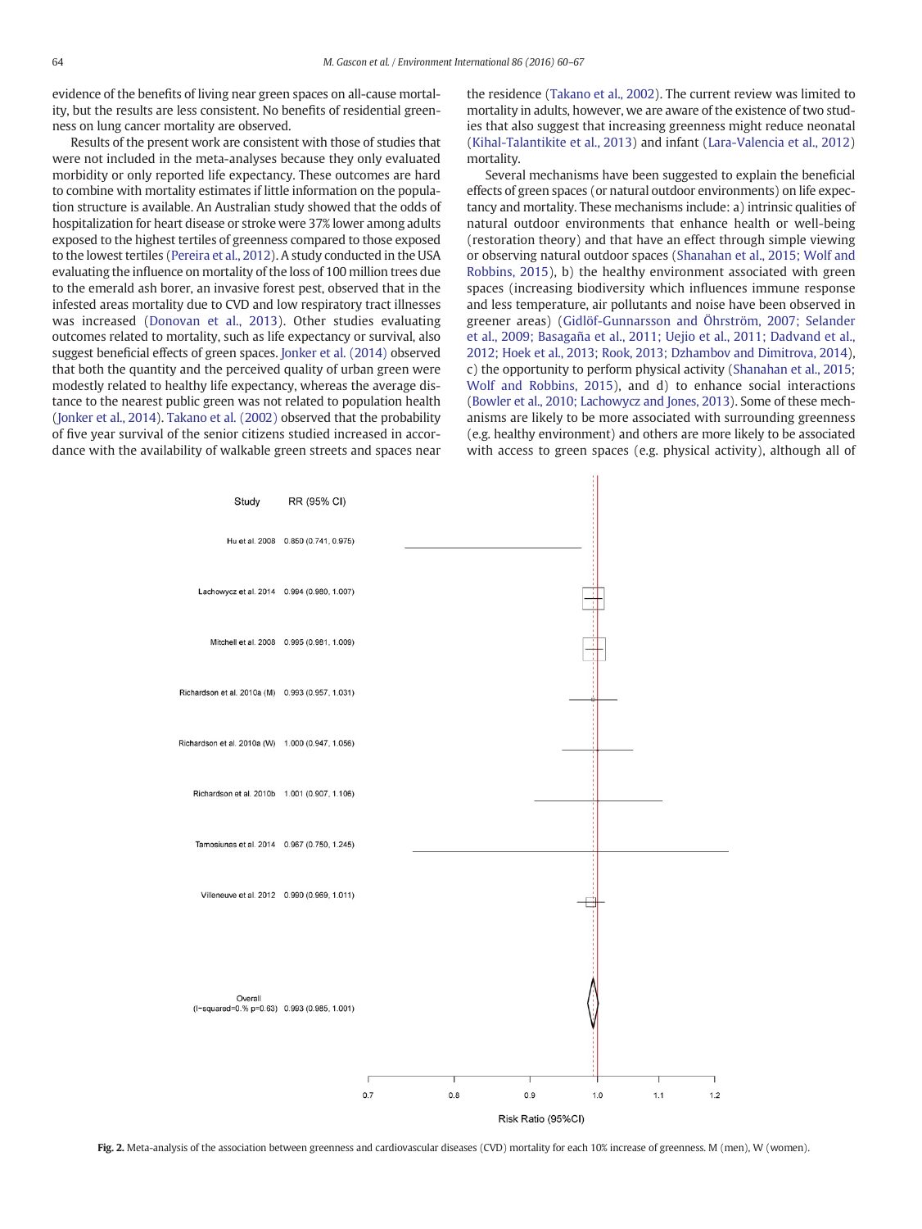<span id="page-4-0"></span>evidence of the benefits of living near green spaces on all-cause mortality, but the results are less consistent. No benefits of residential greenness on lung cancer mortality are observed.

Results of the present work are consistent with those of studies that were not included in the meta-analyses because they only evaluated morbidity or only reported life expectancy. These outcomes are hard to combine with mortality estimates if little information on the population structure is available. An Australian study showed that the odds of hospitalization for heart disease or stroke were 37% lower among adults exposed to the highest tertiles of greenness compared to those exposed to the lowest tertiles ([Pereira et al., 2012\)](#page-7-0). A study conducted in the USA evaluating the influence on mortality of the loss of 100 million trees due to the emerald ash borer, an invasive forest pest, observed that in the infested areas mortality due to CVD and low respiratory tract illnesses was increased [\(Donovan et al., 2013](#page-6-0)). Other studies evaluating outcomes related to mortality, such as life expectancy or survival, also suggest beneficial effects of green spaces. [Jonker et al. \(2014\)](#page-7-0) observed that both the quantity and the perceived quality of urban green were modestly related to healthy life expectancy, whereas the average distance to the nearest public green was not related to population health [\(Jonker et al., 2014\)](#page-7-0). [Takano et al. \(2002\)](#page-7-0) observed that the probability of five year survival of the senior citizens studied increased in accordance with the availability of walkable green streets and spaces near the residence ([Takano et al., 2002\)](#page-7-0). The current review was limited to mortality in adults, however, we are aware of the existence of two studies that also suggest that increasing greenness might reduce neonatal [\(Kihal-Talantikite et al., 2013](#page-7-0)) and infant ([Lara-Valencia et al., 2012](#page-7-0)) mortality.

Several mechanisms have been suggested to explain the beneficial effects of green spaces (or natural outdoor environments) on life expectancy and mortality. These mechanisms include: a) intrinsic qualities of natural outdoor environments that enhance health or well-being (restoration theory) and that have an effect through simple viewing or observing natural outdoor spaces ([Shanahan et al., 2015; Wolf and](#page-7-0) [Robbins, 2015\)](#page-7-0), b) the healthy environment associated with green spaces (increasing biodiversity which influences immune response and less temperature, air pollutants and noise have been observed in greener areas) ([Gidlöf-Gunnarsson and Öhrström, 2007; Selander](#page-6-0) [et al., 2009; Basagaña et al., 2011; Uejio et al., 2011; Dadvand et al.,](#page-6-0) [2012; Hoek et al., 2013; Rook, 2013; Dzhambov and Dimitrova, 2014\)](#page-6-0), c) the opportunity to perform physical activity ([Shanahan et al., 2015;](#page-7-0) [Wolf and Robbins, 2015](#page-7-0)), and d) to enhance social interactions [\(Bowler et al., 2010; Lachowycz and Jones, 2013](#page-6-0)). Some of these mechanisms are likely to be more associated with surrounding greenness (e.g. healthy environment) and others are more likely to be associated with access to green spaces (e.g. physical activity), although all of



Fig. 2. Meta-analysis of the association between greenness and cardiovascular diseases (CVD) mortality for each 10% increase of greenness. M (men), W (women).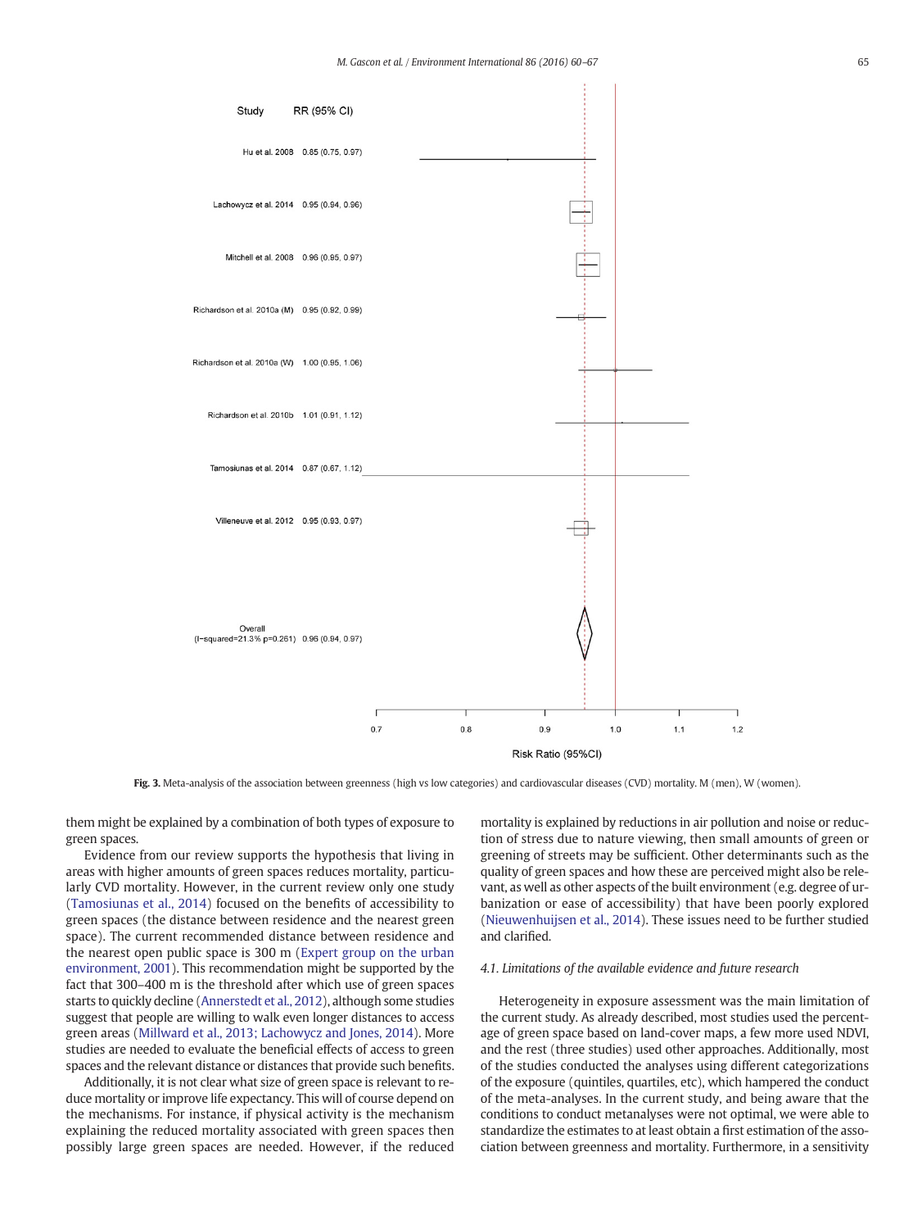<span id="page-5-0"></span>

Fig. 3. Meta-analysis of the association between greenness (high vs low categories) and cardiovascular diseases (CVD) mortality. M (men), W (women).

them might be explained by a combination of both types of exposure to green spaces.

Evidence from our review supports the hypothesis that living in areas with higher amounts of green spaces reduces mortality, particularly CVD mortality. However, in the current review only one study [\(Tamosiunas et al., 2014\)](#page-7-0) focused on the benefits of accessibility to green spaces (the distance between residence and the nearest green space). The current recommended distance between residence and the nearest open public space is 300 m [\(Expert group on the urban](#page-6-0) [environment, 2001\)](#page-6-0). This recommendation might be supported by the fact that 300–400 m is the threshold after which use of green spaces starts to quickly decline [\(Annerstedt et al., 2012](#page-6-0)), although some studies suggest that people are willing to walk even longer distances to access green areas ([Millward et al., 2013; Lachowycz and Jones, 2014](#page-7-0)). More studies are needed to evaluate the beneficial effects of access to green spaces and the relevant distance or distances that provide such benefits.

Additionally, it is not clear what size of green space is relevant to reduce mortality or improve life expectancy. This will of course depend on the mechanisms. For instance, if physical activity is the mechanism explaining the reduced mortality associated with green spaces then possibly large green spaces are needed. However, if the reduced mortality is explained by reductions in air pollution and noise or reduction of stress due to nature viewing, then small amounts of green or greening of streets may be sufficient. Other determinants such as the quality of green spaces and how these are perceived might also be relevant, as well as other aspects of the built environment (e.g. degree of urbanization or ease of accessibility) that have been poorly explored [\(Nieuwenhuijsen et al., 2014\)](#page-7-0). These issues need to be further studied and clarified.

# 4.1. Limitations of the available evidence and future research

Heterogeneity in exposure assessment was the main limitation of the current study. As already described, most studies used the percentage of green space based on land-cover maps, a few more used NDVI, and the rest (three studies) used other approaches. Additionally, most of the studies conducted the analyses using different categorizations of the exposure (quintiles, quartiles, etc), which hampered the conduct of the meta-analyses. In the current study, and being aware that the conditions to conduct metanalyses were not optimal, we were able to standardize the estimates to at least obtain a first estimation of the association between greenness and mortality. Furthermore, in a sensitivity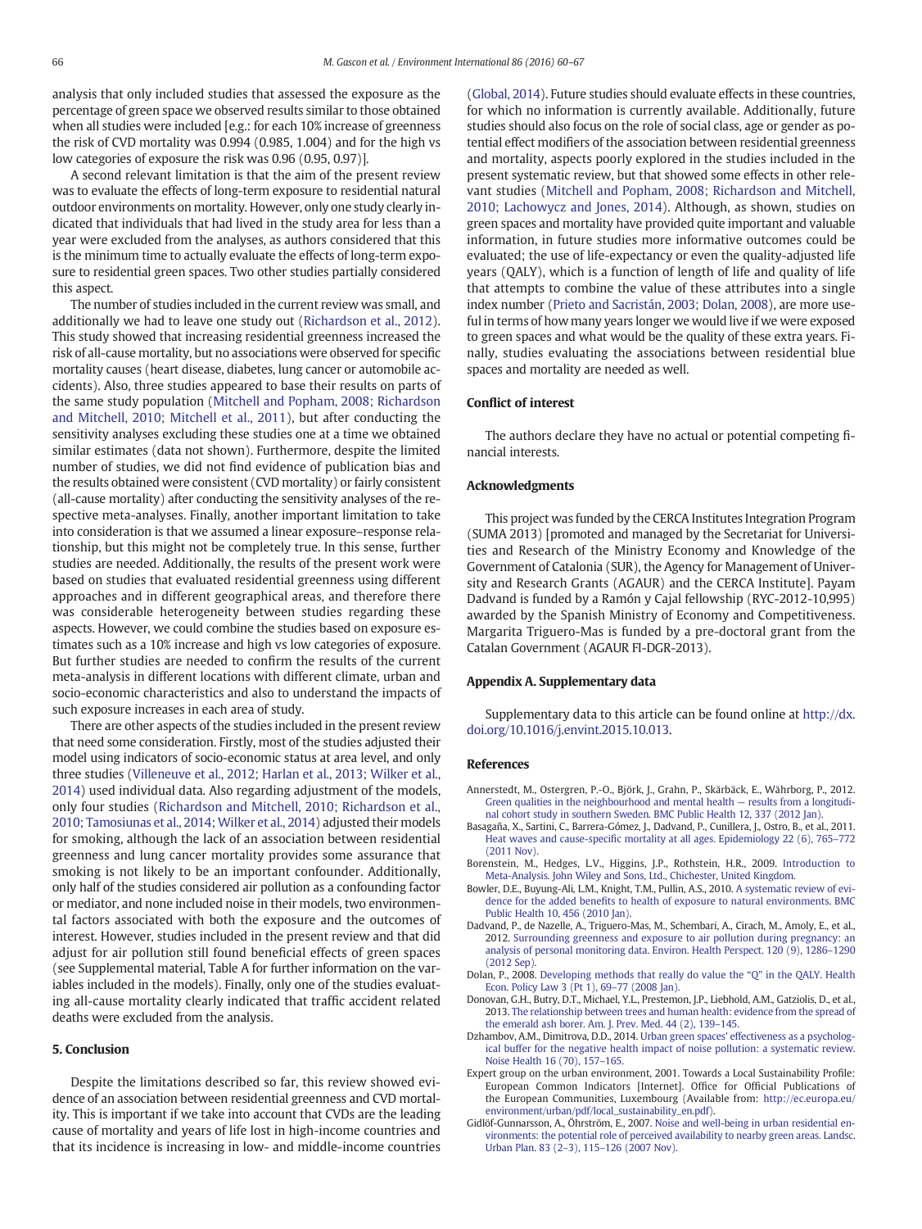<span id="page-6-0"></span>analysis that only included studies that assessed the exposure as the percentage of green space we observed results similar to those obtained when all studies were included [e.g.: for each 10% increase of greenness the risk of CVD mortality was 0.994 (0.985, 1.004) and for the high vs low categories of exposure the risk was 0.96 (0.95, 0.97)].

A second relevant limitation is that the aim of the present review was to evaluate the effects of long-term exposure to residential natural outdoor environments on mortality. However, only one study clearly indicated that individuals that had lived in the study area for less than a year were excluded from the analyses, as authors considered that this is the minimum time to actually evaluate the effects of long-term exposure to residential green spaces. Two other studies partially considered this aspect.

The number of studies included in the current review was small, and additionally we had to leave one study out [\(Richardson et al., 2012](#page-7-0)). This study showed that increasing residential greenness increased the risk of all-cause mortality, but no associations were observed for specific mortality causes (heart disease, diabetes, lung cancer or automobile accidents). Also, three studies appeared to base their results on parts of the same study population ([Mitchell and Popham, 2008; Richardson](#page-7-0) [and Mitchell, 2010; Mitchell et al., 2011\)](#page-7-0), but after conducting the sensitivity analyses excluding these studies one at a time we obtained similar estimates (data not shown). Furthermore, despite the limited number of studies, we did not find evidence of publication bias and the results obtained were consistent (CVD mortality) or fairly consistent (all-cause mortality) after conducting the sensitivity analyses of the respective meta-analyses. Finally, another important limitation to take into consideration is that we assumed a linear exposure–response relationship, but this might not be completely true. In this sense, further studies are needed. Additionally, the results of the present work were based on studies that evaluated residential greenness using different approaches and in different geographical areas, and therefore there was considerable heterogeneity between studies regarding these aspects. However, we could combine the studies based on exposure estimates such as a 10% increase and high vs low categories of exposure. But further studies are needed to confirm the results of the current meta-analysis in different locations with different climate, urban and socio-economic characteristics and also to understand the impacts of such exposure increases in each area of study.

There are other aspects of the studies included in the present review that need some consideration. Firstly, most of the studies adjusted their model using indicators of socio-economic status at area level, and only three studies ([Villeneuve et al., 2012; Harlan et al., 2013; Wilker et al.,](#page-7-0) [2014\)](#page-7-0) used individual data. Also regarding adjustment of the models, only four studies ([Richardson and Mitchell, 2010; Richardson et al.,](#page-7-0) 2010; Tamosiunas et al., 2014; Wilker et al., 2014) adjusted their models for smoking, although the lack of an association between residential greenness and lung cancer mortality provides some assurance that smoking is not likely to be an important confounder. Additionally, only half of the studies considered air pollution as a confounding factor or mediator, and none included noise in their models, two environmental factors associated with both the exposure and the outcomes of interest. However, studies included in the present review and that did adjust for air pollution still found beneficial effects of green spaces (see Supplemental material, Table A for further information on the variables included in the models). Finally, only one of the studies evaluating all-cause mortality clearly indicated that traffic accident related deaths were excluded from the analysis.

# 5. Conclusion

Despite the limitations described so far, this review showed evidence of an association between residential greenness and CVD mortality. This is important if we take into account that CVDs are the leading cause of mortality and years of life lost in high-income countries and that its incidence is increasing in low- and middle-income countries [\(Global, 2014](#page-7-0)). Future studies should evaluate effects in these countries, for which no information is currently available. Additionally, future studies should also focus on the role of social class, age or gender as potential effect modifiers of the association between residential greenness and mortality, aspects poorly explored in the studies included in the present systematic review, but that showed some effects in other relevant studies ([Mitchell and Popham, 2008; Richardson and Mitchell,](#page-7-0) [2010; Lachowycz and Jones, 2014\)](#page-7-0). Although, as shown, studies on green spaces and mortality have provided quite important and valuable information, in future studies more informative outcomes could be evaluated; the use of life-expectancy or even the quality-adjusted life years (QALY), which is a function of length of life and quality of life that attempts to combine the value of these attributes into a single index number [\(Prieto and Sacristán, 2003; Dolan, 2008](#page-7-0)), are more useful in terms of how many years longer we would live if we were exposed to green spaces and what would be the quality of these extra years. Finally, studies evaluating the associations between residential blue spaces and mortality are needed as well.

# Conflict of interest

The authors declare they have no actual or potential competing financial interests.

# Acknowledgments

This project was funded by the CERCA Institutes Integration Program (SUMA 2013) [promoted and managed by the Secretariat for Universities and Research of the Ministry Economy and Knowledge of the Government of Catalonia (SUR), the Agency for Management of University and Research Grants (AGAUR) and the CERCA Institute]. Payam Dadvand is funded by a Ramón y Cajal fellowship (RYC-2012-10,995) awarded by the Spanish Ministry of Economy and Competitiveness. Margarita Triguero-Mas is funded by a pre-doctoral grant from the Catalan Government (AGAUR FI-DGR-2013).

#### Appendix A. Supplementary data

Supplementary data to this article can be found online at [http://dx.](http://dx.doi.org/10.1016/j.envint.2015.10.013) [doi.org/10.1016/j.envint.2015.10.013](http://dx.doi.org/10.1016/j.envint.2015.10.013).

## References

- Annerstedt, M., Ostergren, P.-O., Björk, J., Grahn, P., Skärbäck, E., Währborg, P., 2012. [Green qualities in the neighbourhood and mental health](http://refhub.elsevier.com/S0160-4120(15)30079-9/rf0005) — results from a longitudi[nal cohort study in southern Sweden. BMC Public Health 12, 337 \(2012 Jan\).](http://refhub.elsevier.com/S0160-4120(15)30079-9/rf0005)
- Basagaña, X., Sartini, C., Barrera-Gómez, J., Dadvand, P., Cunillera, J., Ostro, B., et al., 2011. Heat waves and cause-specifi[c mortality at all ages. Epidemiology 22 \(6\), 765](http://refhub.elsevier.com/S0160-4120(15)30079-9/rf0010)–772 [\(2011 Nov\).](http://refhub.elsevier.com/S0160-4120(15)30079-9/rf0010)
- Borenstein, M., Hedges, L.V., Higgins, J.P., Rothstein, H.R., 2009. [Introduction to](http://refhub.elsevier.com/S0160-4120(15)30079-9/rf0015) [Meta-Analysis. John Wiley and Sons, Ltd., Chichester, United Kingdom.](http://refhub.elsevier.com/S0160-4120(15)30079-9/rf0015)
- Bowler, D.E., Buyung-Ali, L.M., Knight, T.M., Pullin, A.S., 2010. [A systematic review of evi](http://refhub.elsevier.com/S0160-4120(15)30079-9/rf0020)dence for the added benefi[ts to health of exposure to natural environments. BMC](http://refhub.elsevier.com/S0160-4120(15)30079-9/rf0020) [Public Health 10, 456 \(2010 Jan\).](http://refhub.elsevier.com/S0160-4120(15)30079-9/rf0020)
- Dadvand, P., de Nazelle, A., Triguero-Mas, M., Schembari, A., Cirach, M., Amoly, E., et al., 2012. [Surrounding greenness and exposure to air pollution during pregnancy: an](http://refhub.elsevier.com/S0160-4120(15)30079-9/rf0025) [analysis of personal monitoring data. Environ. Health Perspect. 120 \(9\), 1286](http://refhub.elsevier.com/S0160-4120(15)30079-9/rf0025)–1290 [\(2012 Sep\)](http://refhub.elsevier.com/S0160-4120(15)30079-9/rf0025).
- Dolan, P., 2008. [Developing methods that really do value the](http://refhub.elsevier.com/S0160-4120(15)30079-9/rf0030) "Q" in the QALY. Health [Econ. Policy Law 3 \(Pt 1\), 69](http://refhub.elsevier.com/S0160-4120(15)30079-9/rf0030)–77 (2008 Jan).
- Donovan, G.H., Butry, D.T., Michael, Y.L., Prestemon, J.P., Liebhold, A.M., Gatziolis, D., et al., 2013. [The relationship between trees and human health: evidence from the spread of](http://refhub.elsevier.com/S0160-4120(15)30079-9/rf0035) [the emerald ash borer. Am. J. Prev. Med. 44 \(2\), 139](http://refhub.elsevier.com/S0160-4120(15)30079-9/rf0035)–145.
- Dzhambov, A.M., Dimitrova, D.D., 2014. [Urban green spaces' effectiveness as a psycholog](http://refhub.elsevier.com/S0160-4120(15)30079-9/rf0040)[ical buffer for the negative health impact of noise pollution: a systematic review.](http://refhub.elsevier.com/S0160-4120(15)30079-9/rf0040) [Noise Health 16 \(70\), 157](http://refhub.elsevier.com/S0160-4120(15)30079-9/rf0040)–165.
- Expert group on the urban environment, 2001. Towards a Local Sustainability Profile: European Common Indicators [Internet]. Office for Official Publications of the European Communities, Luxembourg (Available from: [http://ec.europa.eu/](http://ec.europa.eu/environment/urban/pdf/local_sustainability_en.pdf)) [environment/urban/pdf/local\\_sustainability\\_en.pdf\).](http://ec.europa.eu/environment/urban/pdf/local_sustainability_en.pdf))
- Gidlöf-Gunnarsson, A., Öhrström, E., 2007. [Noise and well-being in urban residential en](http://refhub.elsevier.com/S0160-4120(15)30079-9/rf0050)[vironments: the potential role of perceived availability to nearby green areas. Landsc.](http://refhub.elsevier.com/S0160-4120(15)30079-9/rf0050) [Urban Plan. 83 \(2](http://refhub.elsevier.com/S0160-4120(15)30079-9/rf0050)–3), 115–126 (2007 Nov).